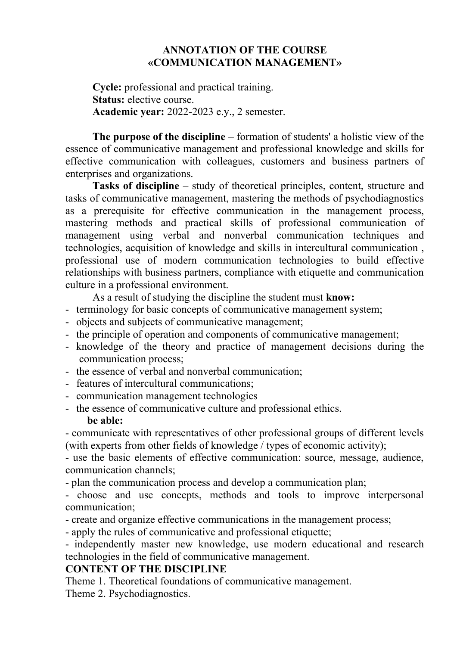## **ANNOTATION OF THE COURSE «COMMUNICATION MANAGEMENT»**

**Cycle:** professional and practical training. **Status:** elective course. **Academic year:** 2022-2023 e.y., 2 semester.

**The purpose of the discipline** – formation of students' a holistic view of the essence of communicative management and professional knowledge and skills for effective communication with colleagues, customers and business partners of enterprises and organizations.

**Tasks of discipline** – study of theoretical principles, content, structure and tasks of communicative management, mastering the methods of psychodiagnostics as a prerequisite for effective communication in the management process, mastering methods and practical skills of professional communication of management using verbal and nonverbal communication techniques and technologies, acquisition of knowledge and skills in intercultural communication , professional use of modern communication technologies to build effective relationships with business partners, compliance with etiquette and communication culture in a professional environment.

As a result of studying the discipline the student must **know:**

- terminology for basic concepts of communicative management system;
- objects and subjects of communicative management;
- the principle of operation and components of communicative management;
- knowledge of the theory and practice of management decisions during the communication process;
- the essence of verbal and nonverbal communication;
- features of intercultural communications;
- communication management technologies
- the essence of communicative culture and professional ethics. **be able:**

- communicate with representatives of other professional groups of different levels (with experts from other fields of knowledge / types of economic activity);

- use the basic elements of effective communication: source, message, audience, communication channels;

- plan the communication process and develop a communication plan;

- choose and use concepts, methods and tools to improve interpersonal communication;

- create and organize effective communications in the management process;

- apply the rules of communicative and professional etiquette;

- independently master new knowledge, use modern educational and research technologies in the field of communicative management.

## **CONTENT OF THE DISCIPLINE**

Theme 1. Theoretical foundations of communicative management. Theme 2. Psychodiagnostics.